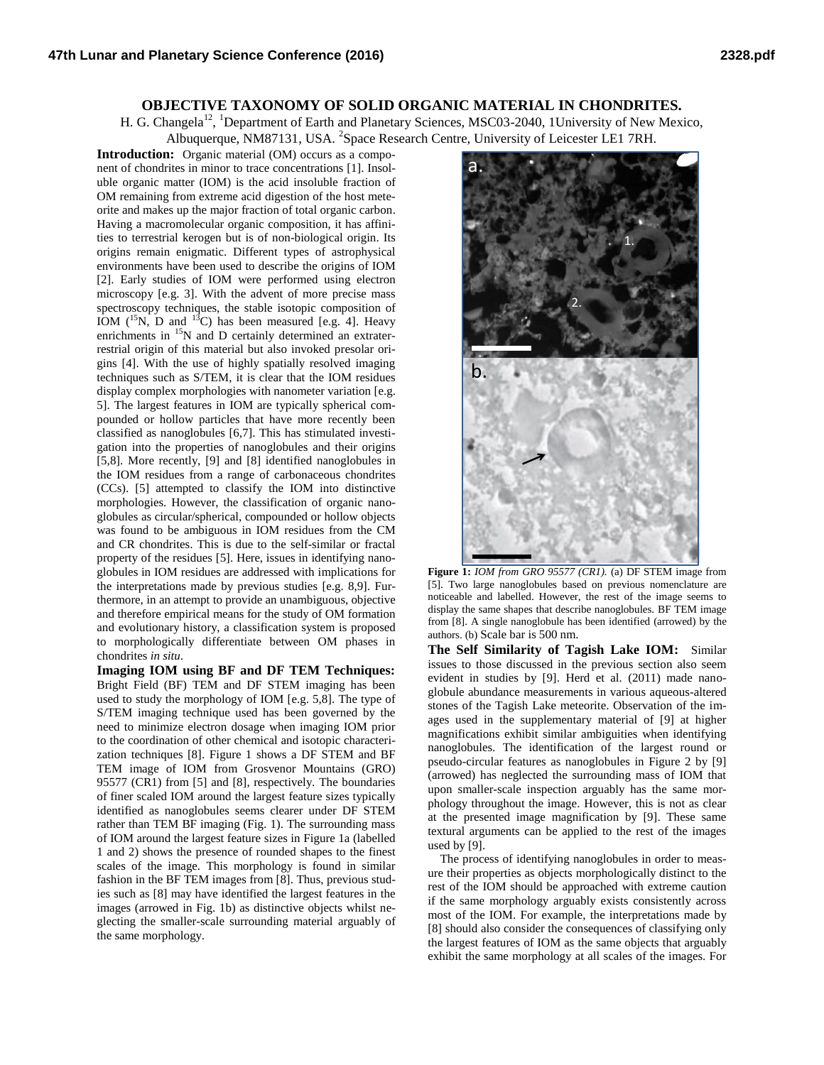## **OBJECTIVE TAXONOMY OF SOLID ORGANIC MATERIAL IN CHONDRITES.**

H. G. Changela<sup>12</sup>, <sup>1</sup>Department of Earth and Planetary Sciences, MSC03-2040, 1University of New Mexico, Albuquerque, NM87131, USA. <sup>2</sup>Space Research Centre, University of Leicester LE1 7RH.

**Introduction:** Organic material (OM) occurs as a component of chondrites in minor to trace concentrations [1]. Insoluble organic matter (IOM) is the acid insoluble fraction of OM remaining from extreme acid digestion of the host meteorite and makes up the major fraction of total organic carbon. Having a macromolecular organic composition, it has affinities to terrestrial kerogen but is of non-biological origin. Its origins remain enigmatic. Different types of astrophysical environments have been used to describe the origins of IOM [2]. Early studies of IOM were performed using electron microscopy [e.g. 3]. With the advent of more precise mass spectroscopy techniques, the stable isotopic composition of IOM  $(^{15}N, D$  and  $^{13}C)$  has been measured [e.g. 4]. Heavy enrichments in <sup>15</sup>N and D certainly determined an extraterrestrial origin of this material but also invoked presolar origins [4]. With the use of highly spatially resolved imaging techniques such as S/TEM, it is clear that the IOM residues display complex morphologies with nanometer variation [e.g. 5]. The largest features in IOM are typically spherical compounded or hollow particles that have more recently been classified as nanoglobules [6,7]. This has stimulated investigation into the properties of nanoglobules and their origins [5,8]. More recently, [9] and [8] identified nanoglobules in the IOM residues from a range of carbonaceous chondrites (CCs). [5] attempted to classify the IOM into distinctive morphologies. However, the classification of organic nanoglobules as circular/spherical, compounded or hollow objects was found to be ambiguous in IOM residues from the CM and CR chondrites. This is due to the self-similar or fractal property of the residues [5]. Here, issues in identifying nanoglobules in IOM residues are addressed with implications for the interpretations made by previous studies [e.g. 8,9]. Furthermore, in an attempt to provide an unambiguous, objective and therefore empirical means for the study of OM formation and evolutionary history, a classification system is proposed to morphologically differentiate between OM phases in chondrites *in situ*.

**Imaging IOM using BF and DF TEM Techniques:** Bright Field (BF) TEM and DF STEM imaging has been used to study the morphology of IOM [e.g. 5,8]. The type of S/TEM imaging technique used has been governed by the need to minimize electron dosage when imaging IOM prior to the coordination of other chemical and isotopic characterization techniques [8]. Figure 1 shows a DF STEM and BF TEM image of IOM from Grosvenor Mountains (GRO) 95577 (CR1) from [5] and [8], respectively. The boundaries of finer scaled IOM around the largest feature sizes typically identified as nanoglobules seems clearer under DF STEM rather than TEM BF imaging (Fig. 1). The surrounding mass of IOM around the largest feature sizes in Figure 1a (labelled 1 and 2) shows the presence of rounded shapes to the finest scales of the image. This morphology is found in similar fashion in the BF TEM images from [8]. Thus, previous studies such as [8] may have identified the largest features in the images (arrowed in Fig. 1b) as distinctive objects whilst neglecting the smaller-scale surrounding material arguably of the same morphology.



**Figure 1:** *IOM from GRO 95577 (CR1).* (a) DF STEM image from [5]. Two large nanoglobules based on previous nomenclature are noticeable and labelled. However, the rest of the image seems to display the same shapes that describe nanoglobules. BF TEM image from [8]. A single nanoglobule has been identified (arrowed) by the authors. (b) Scale bar is 500 nm.

**The Self Similarity of Tagish Lake IOM:** Similar issues to those discussed in the previous section also seem evident in studies by [9]. Herd et al. (2011) made nanoglobule abundance measurements in various aqueous-altered stones of the Tagish Lake meteorite. Observation of the images used in the supplementary material of [9] at higher magnifications exhibit similar ambiguities when identifying nanoglobules. The identification of the largest round or pseudo-circular features as nanoglobules in Figure 2 by [9] (arrowed) has neglected the surrounding mass of IOM that upon smaller-scale inspection arguably has the same morphology throughout the image. However, this is not as clear at the presented image magnification by [9]. These same textural arguments can be applied to the rest of the images used by [9].

 The process of identifying nanoglobules in order to measure their properties as objects morphologically distinct to the rest of the IOM should be approached with extreme caution if the same morphology arguably exists consistently across most of the IOM. For example, the interpretations made by [8] should also consider the consequences of classifying only the largest features of IOM as the same objects that arguably exhibit the same morphology at all scales of the images. For